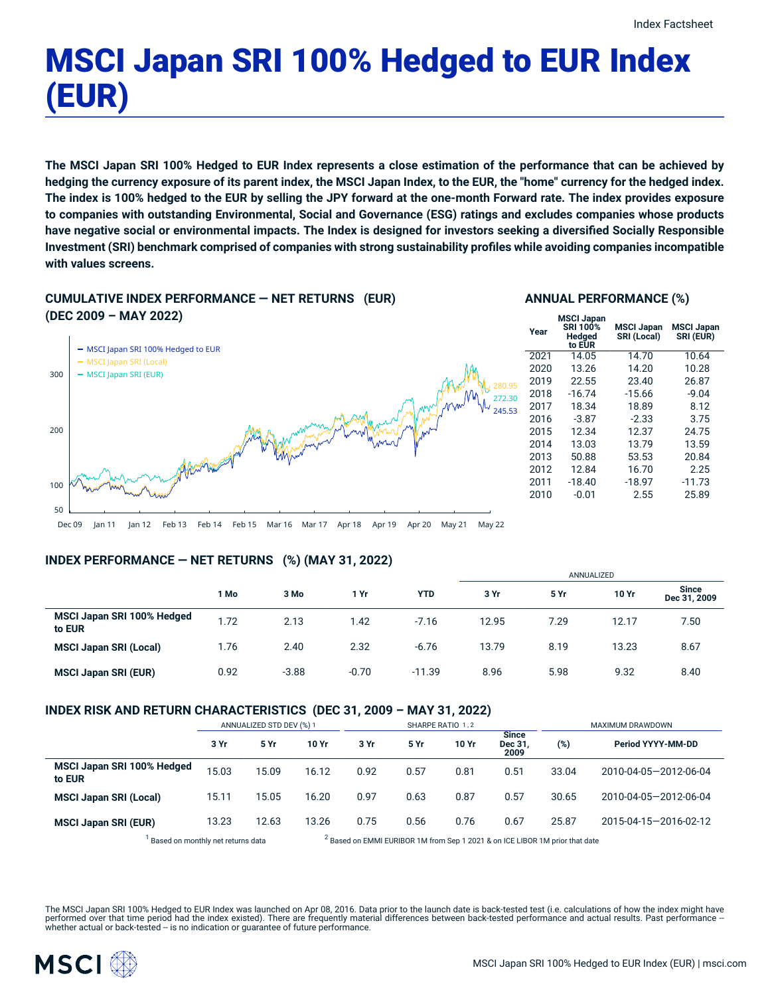# MSCI Japan SRI 100% Hedged to EUR Index (EUR)

The MSCI Japan SRI 100% Hedged to EUR Index represents a close estimation of the performance that can be achieved by hedging the currency exposure of its parent index, the MSCI Japan Index, to the EUR, the "home" currency for the hedged index. The index is 100% hedged to the EUR by selling the JPY forward at the one-month Forward rate. The index provides exposure **to companies with outstanding Environmental, Social and Governance (ESG) ratings and excludes companies whose products** have negative social or environmental impacts. The Index is designed for investors seeking a diversified Socially Responsible **Investment (SRI) benchmark comprised of companies with strong sustainability profiles while avoiding companies incompatible with values screens.**

# **CUMULATIVE INDEX PERFORMANCE — NET RETURNS (EUR)**

#### **ANNUAL PERFORMANCE (%)**



| Year | <b>MSCI Japan</b><br>SRI 100%<br>Hedged<br>to EUR | <b>MSCI Japan</b><br>SRI (Local) | <b>MSCI Japan</b><br>SRI (EUR) |
|------|---------------------------------------------------|----------------------------------|--------------------------------|
| 2021 | 14.05                                             | 14.70                            | 10.64                          |
| 2020 | 13.26                                             | 14.20                            | 10.28                          |
| 2019 | 22.55                                             | 23.40                            | 26.87                          |
| 2018 | $-16.74$                                          | $-15.66$                         | $-9.04$                        |
| 2017 | 18.34                                             | 18.89                            | 8.12                           |
| 2016 | $-3.87$                                           | $-2.33$                          | 3.75                           |
| 2015 | 12.34                                             | 12.37                            | 24.75                          |
| 2014 | 13.03                                             | 13.79                            | 13.59                          |
| 2013 | 50.88                                             | 53.53                            | 20.84                          |
| 2012 | 12.84                                             | 16.70                            | 2.25                           |
| 2011 | $-18.40$                                          | $-18.97$                         | $-11.73$                       |
| 2010 | $-0.01$                                           | 2.55                             | 25.89                          |
|      |                                                   |                                  |                                |

Dec 09 Jan 11 Jan 12 Feb 13 Feb 14 Feb 15 Mar 16 Mar 17 Apr 18 Apr 19 Apr 20 May 21 May 22

# **INDEX PERFORMANCE — NET RETURNS (%) (MAY 31, 2022)**

|                                      |      |         |         |            | ANNUALIZED |      |       |                              |
|--------------------------------------|------|---------|---------|------------|------------|------|-------|------------------------------|
|                                      | 1 Mo | 3 Mo    | 1 Yr    | <b>YTD</b> | 3 Yr       | 5 Yr | 10 Yr | <b>Since</b><br>Dec 31, 2009 |
| MSCI Japan SRI 100% Hedged<br>to EUR | 1.72 | 2.13    | 1.42    | $-7.16$    | 12.95      | 7.29 | 12.17 | 7.50                         |
| <b>MSCI Japan SRI (Local)</b>        | 1.76 | 2.40    | 2.32    | $-6.76$    | 13.79      | 8.19 | 13.23 | 8.67                         |
| <b>MSCI Japan SRI (EUR)</b>          | 0.92 | $-3.88$ | $-0.70$ | $-11.39$   | 8.96       | 5.98 | 9.32  | 8.40                         |

# **INDEX RISK AND RETURN CHARACTERISTICS (DEC 31, 2009 – MAY 31, 2022)**

|                                                                                                                                                                                                                                   | ANNUALIZED STD DEV (%) 1 |       |       | SHARPE RATIO 1,2 |      |       |                                 | MAXIMUM DRAWDOWN |                       |  |
|-----------------------------------------------------------------------------------------------------------------------------------------------------------------------------------------------------------------------------------|--------------------------|-------|-------|------------------|------|-------|---------------------------------|------------------|-----------------------|--|
|                                                                                                                                                                                                                                   | 3 Yr                     | 5 Yr  | 10 Yr | 3 Yr             | 5 Yr | 10 Yr | <b>Since</b><br>Dec 31,<br>2009 | (%)              | Period YYYY-MM-DD     |  |
| MSCI Japan SRI 100% Hedged<br>to EUR                                                                                                                                                                                              | 15.03                    | 15.09 | 16.12 | 0.92             | 0.57 | 0.81  | 0.51                            | 33.04            | 2010-04-05-2012-06-04 |  |
| <b>MSCI Japan SRI (Local)</b>                                                                                                                                                                                                     | 15.11                    | 15.05 | 16.20 | 0.97             | 0.63 | 0.87  | 0.57                            | 30.65            | 2010-04-05-2012-06-04 |  |
| <b>MSCI Japan SRI (EUR)</b>                                                                                                                                                                                                       | 13.23                    | 12.63 | 13.26 | 0.75             | 0.56 | 0.76  | 0.67                            | 25.87            | 2015-04-15-2016-02-12 |  |
| $\mathbf{1}$ . The contract of the contract of the contract of the contract of the contract of the contract of the contract of the contract of the contract of the contract of the contract of the contract of the contract of th |                          |       |       |                  |      |       |                                 |                  |                       |  |

<sup>1</sup> Based on monthly net returns data 2

 $3$  Based on EMMI EURIBOR 1M from Sep 1 2021 & on ICE LIBOR 1M prior that date

The MSCI Japan SRI 100% Hedged to EUR Index was launched on Apr 08, 2016. Data prior to the launch date is back-tested test (i.e. calculations of how the index might have performed over that time period had the index existed). There are frequently material differences between back-tested performance and actual results. Past performance –<br>whether actual or back-tested – is no indication or g